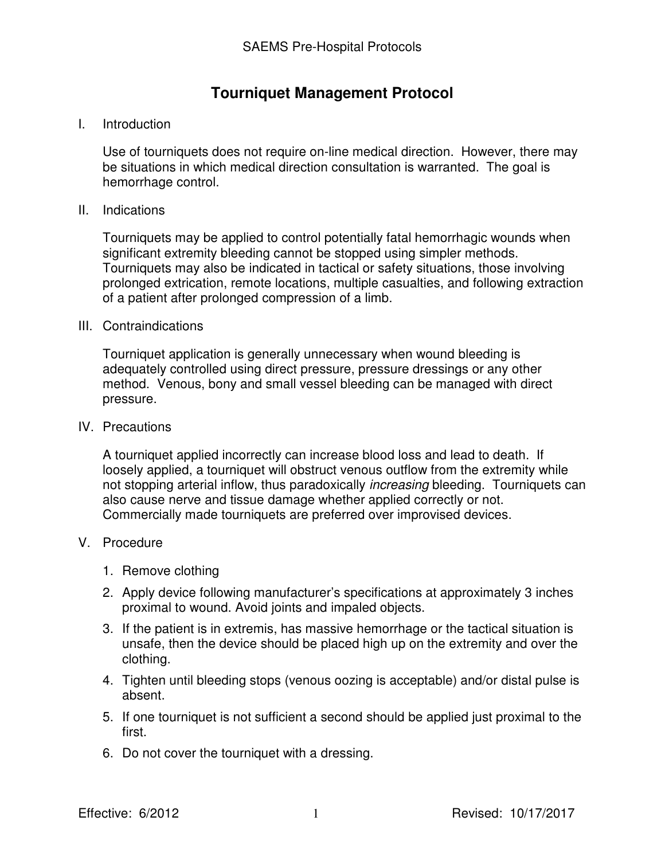# **Tourniquet Management Protocol**

## I. Introduction

Use of tourniquets does not require on-line medical direction. However, there may be situations in which medical direction consultation is warranted. The goal is hemorrhage control.

#### II. Indications

Tourniquets may be applied to control potentially fatal hemorrhagic wounds when significant extremity bleeding cannot be stopped using simpler methods. Tourniquets may also be indicated in tactical or safety situations, those involving prolonged extrication, remote locations, multiple casualties, and following extraction of a patient after prolonged compression of a limb.

## III. Contraindications

Tourniquet application is generally unnecessary when wound bleeding is adequately controlled using direct pressure, pressure dressings or any other method. Venous, bony and small vessel bleeding can be managed with direct pressure.

#### IV. Precautions

A tourniquet applied incorrectly can increase blood loss and lead to death. If loosely applied, a tourniquet will obstruct venous outflow from the extremity while not stopping arterial inflow, thus paradoxically increasing bleeding. Tourniquets can also cause nerve and tissue damage whether applied correctly or not. Commercially made tourniquets are preferred over improvised devices.

### V. Procedure

- 1. Remove clothing
- 2. Apply device following manufacturer's specifications at approximately 3 inches proximal to wound. Avoid joints and impaled objects.
- 3. If the patient is in extremis, has massive hemorrhage or the tactical situation is unsafe, then the device should be placed high up on the extremity and over the clothing.
- 4. Tighten until bleeding stops (venous oozing is acceptable) and/or distal pulse is absent.
- 5. If one tourniquet is not sufficient a second should be applied just proximal to the first.
- 6. Do not cover the tourniquet with a dressing.